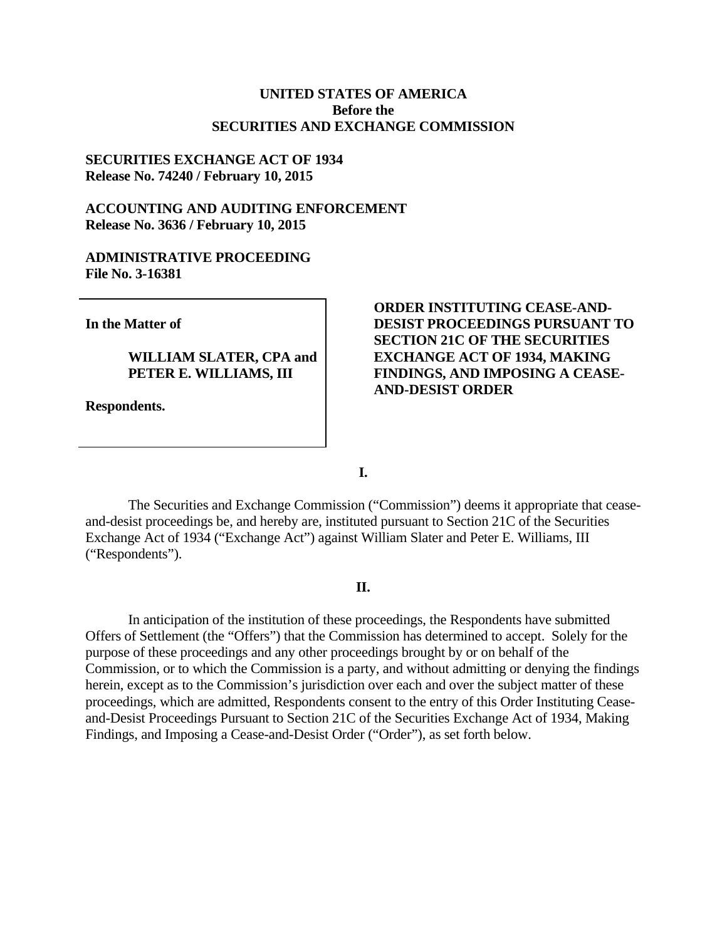### **UNITED STATES OF AMERICA Before the SECURITIES AND EXCHANGE COMMISSION**

### **SECURITIES EXCHANGE ACT OF 1934 Release No. 74240 / February 10, 2015**

## **ACCOUNTING AND AUDITING ENFORCEMENT Release No. 3636 / February 10, 2015**

#### **ADMINISTRATIVE PROCEEDING File No. 3-16381**

**In the Matter of**

# **WILLIAM SLATER, CPA and PETER E. WILLIAMS, III**

**Respondents.**

## **ORDER INSTITUTING CEASE-AND-DESIST PROCEEDINGS PURSUANT TO SECTION 21C OF THE SECURITIES EXCHANGE ACT OF 1934, MAKING FINDINGS, AND IMPOSING A CEASE-AND-DESIST ORDER**

**I.**

The Securities and Exchange Commission ("Commission") deems it appropriate that ceaseand-desist proceedings be, and hereby are, instituted pursuant to Section 21C of the Securities Exchange Act of 1934 ("Exchange Act") against William Slater and Peter E. Williams, III ("Respondents").

### **II.**

In anticipation of the institution of these proceedings, the Respondents have submitted Offers of Settlement (the "Offers") that the Commission has determined to accept. Solely for the purpose of these proceedings and any other proceedings brought by or on behalf of the Commission, or to which the Commission is a party, and without admitting or denying the findings herein, except as to the Commission's jurisdiction over each and over the subject matter of these proceedings, which are admitted, Respondents consent to the entry of this Order Instituting Ceaseand-Desist Proceedings Pursuant to Section 21C of the Securities Exchange Act of 1934, Making Findings, and Imposing a Cease-and-Desist Order ("Order"), as set forth below.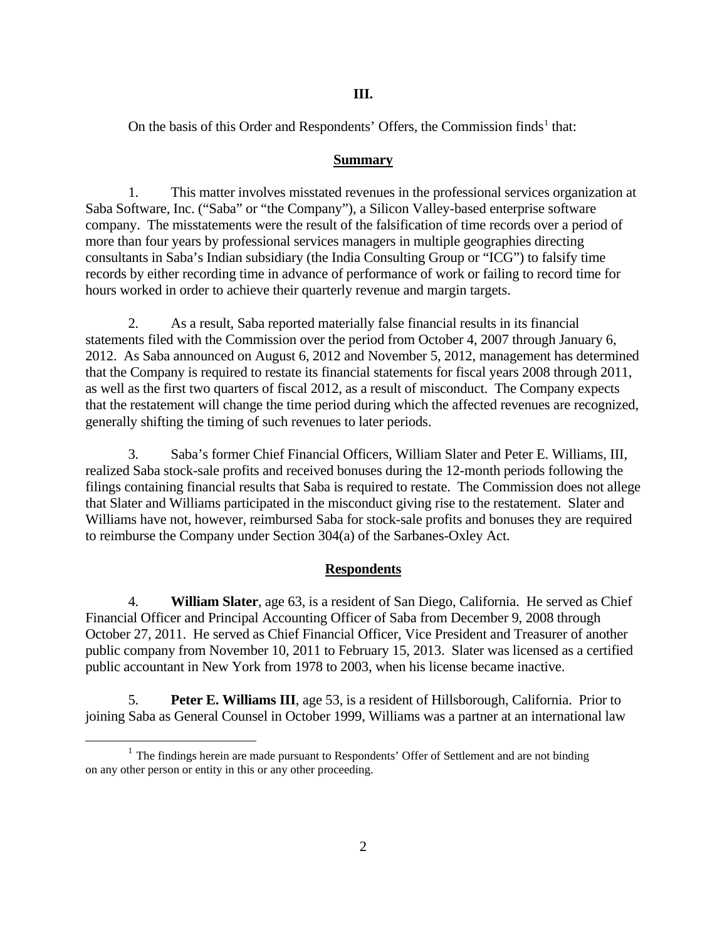### **III.**

On the basis of this Order and Respondents' Offers, the Commission finds<sup>1</sup> that:

#### **Summary**

1. This matter involves misstated revenues in the professional services organization at Saba Software, Inc. ("Saba" or "the Company"), a Silicon Valley-based enterprise software company. The misstatements were the result of the falsification of time records over a period of more than four years by professional services managers in multiple geographies directing consultants in Saba's Indian subsidiary (the India Consulting Group or "ICG") to falsify time records by either recording time in advance of performance of work or failing to record time for hours worked in order to achieve their quarterly revenue and margin targets.

2. As a result, Saba reported materially false financial results in its financial statements filed with the Commission over the period from October 4, 2007 through January 6, 2012. As Saba announced on August 6, 2012 and November 5, 2012, management has determined that the Company is required to restate its financial statements for fiscal years 2008 through 2011, as well as the first two quarters of fiscal 2012, as a result of misconduct. The Company expects that the restatement will change the time period during which the affected revenues are recognized, generally shifting the timing of such revenues to later periods.

3. Saba's former Chief Financial Officers, William Slater and Peter E. Williams, III, realized Saba stock-sale profits and received bonuses during the 12-month periods following the filings containing financial results that Saba is required to restate. The Commission does not allege that Slater and Williams participated in the misconduct giving rise to the restatement. Slater and Williams have not, however, reimbursed Saba for stock-sale profits and bonuses they are required to reimburse the Company under Section 304(a) of the Sarbanes-Oxley Act.

## **Respondents**

4. **William Slater**, age 63, is a resident of San Diego, California. He served as Chief Financial Officer and Principal Accounting Officer of Saba from December 9, 2008 through October 27, 2011. He served as Chief Financial Officer, Vice President and Treasurer of another public company from November 10, 2011 to February 15, 2013. Slater was licensed as a certified public accountant in New York from 1978 to 2003, when his license became inactive.

5. **Peter E. Williams III**, age 53, is a resident of Hillsborough, California. Prior to joining Saba as General Counsel in October 1999, Williams was a partner at an international law

 $<sup>1</sup>$  The findings herein are made pursuant to Respondents' Offer of Settlement and are not binding</sup> on any other person or entity in this or any other proceeding.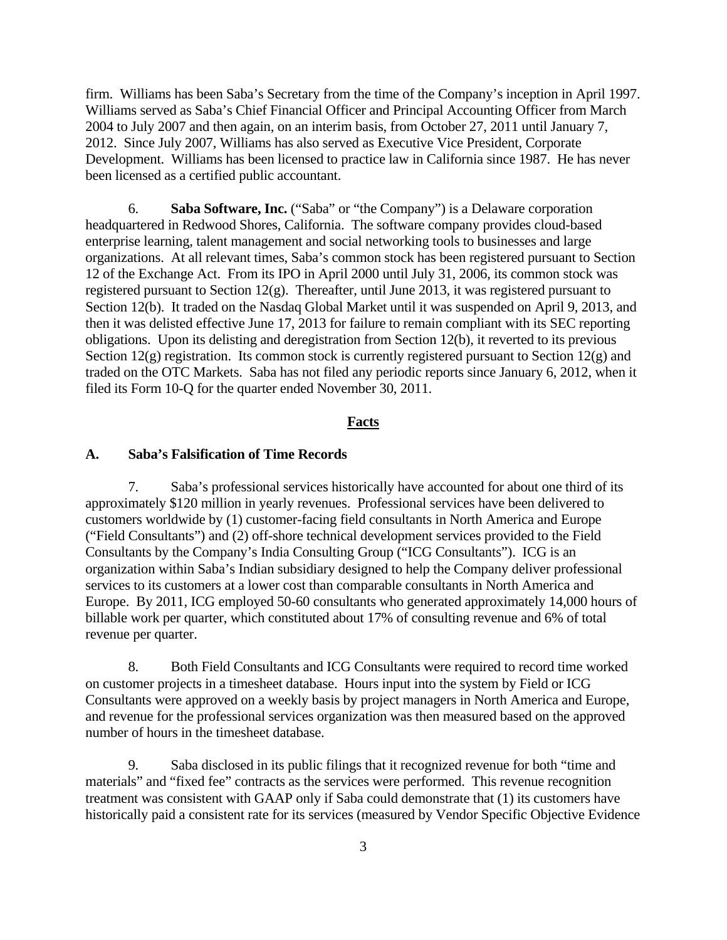firm. Williams has been Saba's Secretary from the time of the Company's inception in April 1997. Williams served as Saba's Chief Financial Officer and Principal Accounting Officer from March 2004 to July 2007 and then again, on an interim basis, from October 27, 2011 until January 7, 2012. Since July 2007, Williams has also served as Executive Vice President, Corporate Development. Williams has been licensed to practice law in California since 1987. He has never been licensed as a certified public accountant.

6. **Saba Software, Inc.** ("Saba" or "the Company") is a Delaware corporation headquartered in Redwood Shores, California. The software company provides cloud-based enterprise learning, talent management and social networking tools to businesses and large organizations. At all relevant times, Saba's common stock has been registered pursuant to Section 12 of the Exchange Act. From its IPO in April 2000 until July 31, 2006, its common stock was registered pursuant to Section 12(g). Thereafter, until June 2013, it was registered pursuant to Section 12(b). It traded on the Nasdaq Global Market until it was suspended on April 9, 2013, and then it was delisted effective June 17, 2013 for failure to remain compliant with its SEC reporting obligations. Upon its delisting and deregistration from Section 12(b), it reverted to its previous Section  $12(g)$  registration. Its common stock is currently registered pursuant to Section  $12(g)$  and traded on the OTC Markets. Saba has not filed any periodic reports since January 6, 2012, when it filed its Form 10-Q for the quarter ended November 30, 2011.

#### **Facts**

#### **A. Saba's Falsification of Time Records**

7. Saba's professional services historically have accounted for about one third of its approximately \$120 million in yearly revenues. Professional services have been delivered to customers worldwide by (1) customer-facing field consultants in North America and Europe ("Field Consultants") and (2) off-shore technical development services provided to the Field Consultants by the Company's India Consulting Group ("ICG Consultants"). ICG is an organization within Saba's Indian subsidiary designed to help the Company deliver professional services to its customers at a lower cost than comparable consultants in North America and Europe. By 2011, ICG employed 50-60 consultants who generated approximately 14,000 hours of billable work per quarter, which constituted about 17% of consulting revenue and 6% of total revenue per quarter.

8. Both Field Consultants and ICG Consultants were required to record time worked on customer projects in a timesheet database. Hours input into the system by Field or ICG Consultants were approved on a weekly basis by project managers in North America and Europe, and revenue for the professional services organization was then measured based on the approved number of hours in the timesheet database.

9. Saba disclosed in its public filings that it recognized revenue for both "time and materials" and "fixed fee" contracts as the services were performed. This revenue recognition treatment was consistent with GAAP only if Saba could demonstrate that (1) its customers have historically paid a consistent rate for its services (measured by Vendor Specific Objective Evidence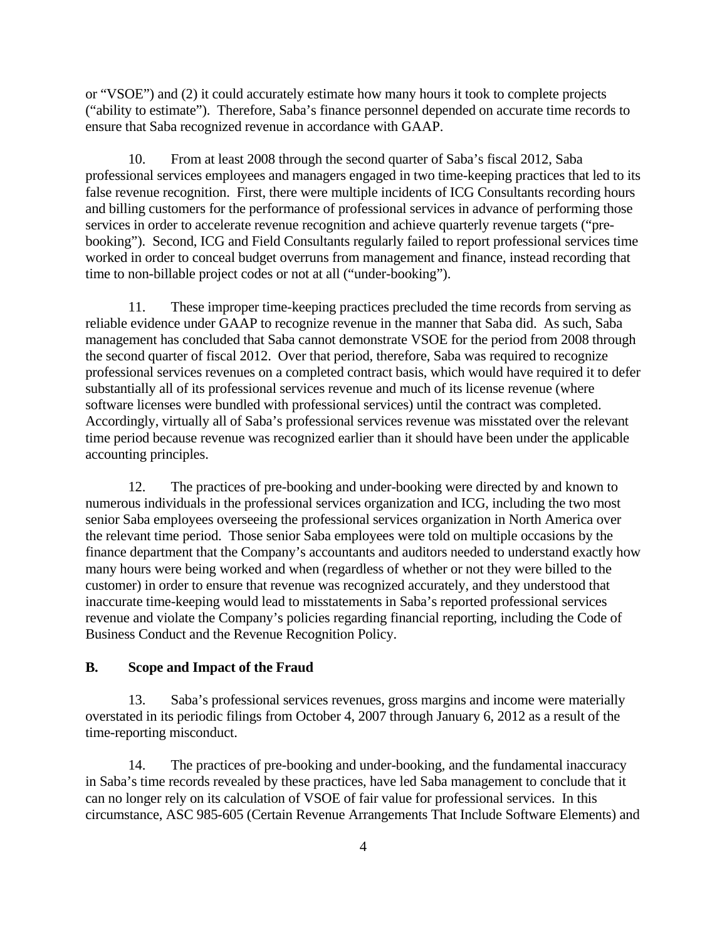or "VSOE") and (2) it could accurately estimate how many hours it took to complete projects ("ability to estimate"). Therefore, Saba's finance personnel depended on accurate time records to ensure that Saba recognized revenue in accordance with GAAP.

10. From at least 2008 through the second quarter of Saba's fiscal 2012, Saba professional services employees and managers engaged in two time-keeping practices that led to its false revenue recognition. First, there were multiple incidents of ICG Consultants recording hours and billing customers for the performance of professional services in advance of performing those services in order to accelerate revenue recognition and achieve quarterly revenue targets ("prebooking"). Second, ICG and Field Consultants regularly failed to report professional services time worked in order to conceal budget overruns from management and finance, instead recording that time to non-billable project codes or not at all ("under-booking").

11. These improper time-keeping practices precluded the time records from serving as reliable evidence under GAAP to recognize revenue in the manner that Saba did. As such, Saba management has concluded that Saba cannot demonstrate VSOE for the period from 2008 through the second quarter of fiscal 2012. Over that period, therefore, Saba was required to recognize professional services revenues on a completed contract basis, which would have required it to defer substantially all of its professional services revenue and much of its license revenue (where software licenses were bundled with professional services) until the contract was completed. Accordingly, virtually all of Saba's professional services revenue was misstated over the relevant time period because revenue was recognized earlier than it should have been under the applicable accounting principles.

12. The practices of pre-booking and under-booking were directed by and known to numerous individuals in the professional services organization and ICG, including the two most senior Saba employees overseeing the professional services organization in North America over the relevant time period. Those senior Saba employees were told on multiple occasions by the finance department that the Company's accountants and auditors needed to understand exactly how many hours were being worked and when (regardless of whether or not they were billed to the customer) in order to ensure that revenue was recognized accurately, and they understood that inaccurate time-keeping would lead to misstatements in Saba's reported professional services revenue and violate the Company's policies regarding financial reporting, including the Code of Business Conduct and the Revenue Recognition Policy.

#### **B. Scope and Impact of the Fraud**

13. Saba's professional services revenues, gross margins and income were materially overstated in its periodic filings from October 4, 2007 through January 6, 2012 as a result of the time-reporting misconduct.

14. The practices of pre-booking and under-booking, and the fundamental inaccuracy in Saba's time records revealed by these practices, have led Saba management to conclude that it can no longer rely on its calculation of VSOE of fair value for professional services. In this circumstance, ASC 985-605 (Certain Revenue Arrangements That Include Software Elements) and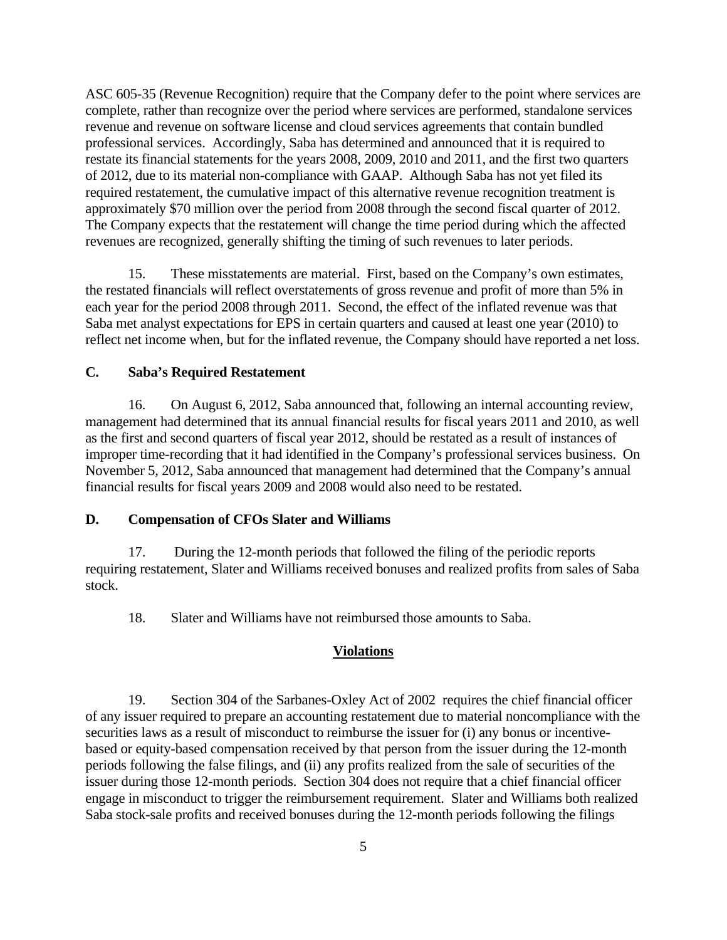ASC 605-35 (Revenue Recognition) require that the Company defer to the point where services are complete, rather than recognize over the period where services are performed, standalone services revenue and revenue on software license and cloud services agreements that contain bundled professional services. Accordingly, Saba has determined and announced that it is required to restate its financial statements for the years 2008, 2009, 2010 and 2011, and the first two quarters of 2012, due to its material non-compliance with GAAP. Although Saba has not yet filed its required restatement, the cumulative impact of this alternative revenue recognition treatment is approximately \$70 million over the period from 2008 through the second fiscal quarter of 2012. The Company expects that the restatement will change the time period during which the affected revenues are recognized, generally shifting the timing of such revenues to later periods.

15. These misstatements are material. First, based on the Company's own estimates, the restated financials will reflect overstatements of gross revenue and profit of more than 5% in each year for the period 2008 through 2011. Second, the effect of the inflated revenue was that Saba met analyst expectations for EPS in certain quarters and caused at least one year (2010) to reflect net income when, but for the inflated revenue, the Company should have reported a net loss.

#### **C. Saba's Required Restatement**

16. On August 6, 2012, Saba announced that, following an internal accounting review, management had determined that its annual financial results for fiscal years 2011 and 2010, as well as the first and second quarters of fiscal year 2012, should be restated as a result of instances of improper time-recording that it had identified in the Company's professional services business. On November 5, 2012, Saba announced that management had determined that the Company's annual financial results for fiscal years 2009 and 2008 would also need to be restated.

#### **D. Compensation of CFOs Slater and Williams**

17. During the 12-month periods that followed the filing of the periodic reports requiring restatement, Slater and Williams received bonuses and realized profits from sales of Saba stock.

18. Slater and Williams have not reimbursed those amounts to Saba.

#### **Violations**

19. Section 304 of the Sarbanes-Oxley Act of 2002 requires the chief financial officer of any issuer required to prepare an accounting restatement due to material noncompliance with the securities laws as a result of misconduct to reimburse the issuer for (i) any bonus or incentivebased or equity-based compensation received by that person from the issuer during the 12-month periods following the false filings, and (ii) any profits realized from the sale of securities of the issuer during those 12-month periods. Section 304 does not require that a chief financial officer engage in misconduct to trigger the reimbursement requirement. Slater and Williams both realized Saba stock-sale profits and received bonuses during the 12-month periods following the filings